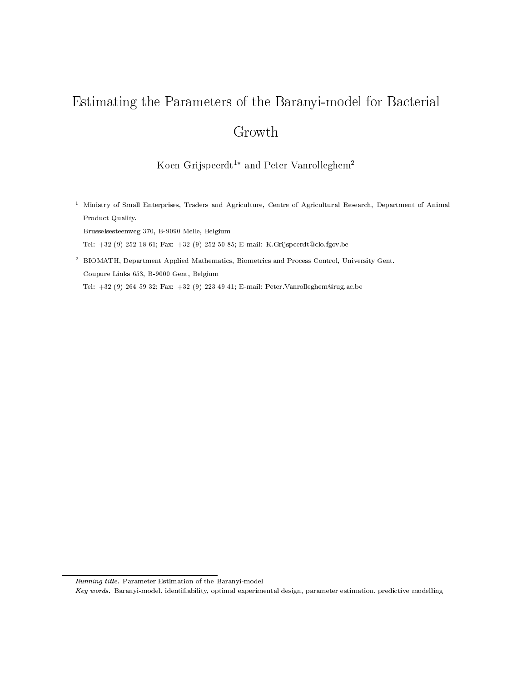# $\blacksquare$  . For  $\blacksquare$  the Parameters of the Barance  $\blacksquare$  for Bacterial for Bacterial for Bacterial for Bacterial for Bacterial for Bacterial for Bacterial for Bacterial for Bacterial for Bacterial for Bacterial for Bacter Growth

### Koen Grijspeerdt - and Peter Vanrolleghem-

<sup>1</sup> Ministry of Small Enterprises, Traders and Agriculture, Centre of Agricultural Research, Department of Animal Product Quality.

Brusselsesteenweg 370, B-9090 Melle, Belgium

Tel: +32 (9) 252 18 61; Fax: +32 (9) 252 50 85; E-mail: K.Grijspeerdt@clo.fgov.be

<sup>2</sup> BIOMATH, Department Applied Mathematics, Biometrics and Process Control, University Gent. Coupure Links 653, B-9000 Gent, Belgium

Tel: +32 (9) 264 59 32; Fax: +32 (9) 223 49 41; E-mail: Peter.Vanrolleghem@rug.ac.be

Running title. Parameter Estimation of the Baranyi-model

Key words. Baranyi-model, identiability, optimal experimental design, parameter estimation, predictive modelling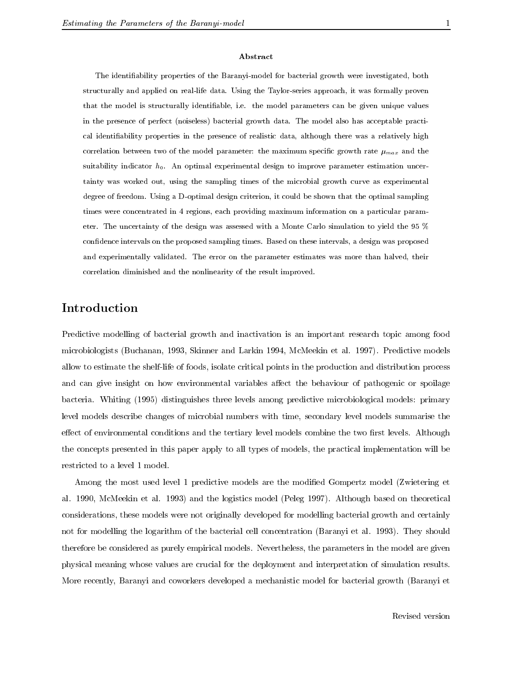#### Abstract

The identiability properties of the Baranyi-model for bacterial growth were investigated, both structurally and applied on real-life data. Using the Taylor-series approach, it was formally proven that the model is structurally identiable, i.e. the model parameters can be given unique values in the presence of perfect (noiseless) bacterial growth data. The model also has acceptable practical identiability properties in the presence of realistic data, although there was a relatively high correlation between two of the model parameter: the maximum specific growth rate  $\mu_{max}$  and the suitability indicator  $h_0$ . An optimal experimental design to improve parameter estimation uncertainty was worked out, using the sampling times of the microbial growth curve as experimental degree of freedom. Using a D-optimal design criterion, it could be shown that the optimal sampling times were concentrated in 4 regions, each providing maximum information on a particular parameter. The uncertainty of the design was assessed with a Monte Carlo simulation to yield the 95 % condence intervals on the proposed sampling times. Based on these intervals, a design was proposed and experimentally validated. The error on the parameter estimates was more than halved, their correlation diminished and the nonlinearity of the result improved.

## Introduction

Predictive modelling of bacterial growth and inactivation is an important research topic among food microbiologists (Buchanan, 1993, Skinner and Larkin 1994, McMeekin et al. 1997). Predictive models allow to estimate the shelf-life of foods, isolate critical points in the production and distribution process and can give insight on how environmental variables affect the behaviour of pathogenic or spoilage bacteria. Whiting (1995) distinguishes three levels among predictive microbiological models: primary level models describe changes of microbial numbers with time, secondary level models summarise the effect of environmental conditions and the tertiary level models combine the two first levels. Although the concepts presented in this paper apply to all types of models, the practical implementation will be restricted to a level 1 model.

Among the most used level 1 predictive models are the modied Gompertz model (Zwietering et al. 1990, McMeekin et al. 1993) and the logistics model (Peleg 1997). Although based on theoretical considerations, these models were not originally developed for modelling bacterial growth and certainly not for modelling the logarithm of the bacterial cell concentration (Baranyi et al. 1993). They should therefore be considered as purely empirical models. Nevertheless, the parameters in the model are given physical meaning whose values are crucial for the deployment and interpretation of simulation results. More recently, Baranyi and coworkers developed a mechanistic model for bacterial growth (Baranyi et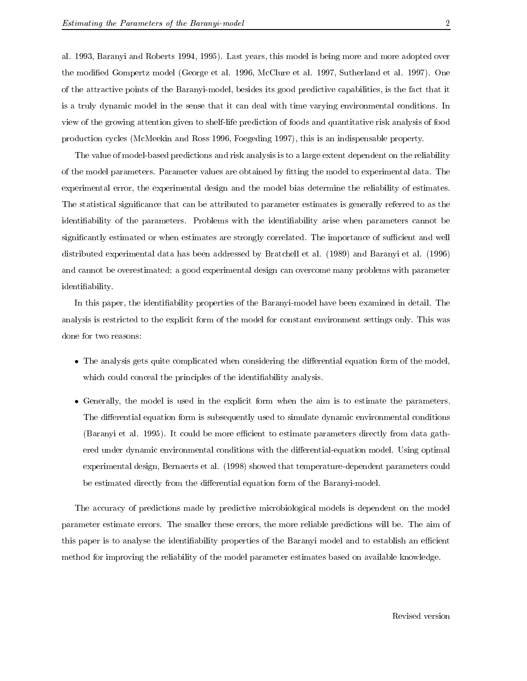al. 1993, Baranyi and Roberts 1994, 1995). Last years, this model is being more and more adopted over the modied Gompertz model (George et al. 1996, McClure et al. 1997, Sutherland et al. 1997). One of the attractive points of the Baranyi-model, besides its good predictive capabilities, is the fact that it is a truly dynamic model in the sense that it can deal with time varying environmental conditions. In view of the growing attention given to shelf-life prediction of foods and quantitative risk analysis of food production cycles (McMeekin and Ross 1996, Foegeding 1997), this is an indispensable property.

The value of model-based predictions and risk analysis is to a large extent dependent on the reliability of the model parameters. Parameter values are obtained by fitting the model to experimental data. The experimental error, the experimental design and the model bias determine the reliability of estimates. The statistical signicance that can be attributed to parameter estimates is generally referred to as the identifiability of the parameters. Problems with the identifiability arise when parameters cannot be significantly estimated or when estimates are strongly correlated. The importance of sufficient and well distributed experimental data has been addressed by Bratchell et al. (1989) and Baranyi et al. (1996) and cannot be overestimated: a good experimental design can overcome many problems with parameter identiability.

In this paper, the identiability properties of the Baranyi-model have been examined in detail. The analysis is restricted to the explicit form of the model for constant environment settings only. This was done for two reasons:

- $\bullet$  The analysis gets quite complicated when considering the differential equation form of the model, which could conceal the principles of the identiability analysis.
- $\bullet$  Generally, the model is used in the explicit form when the aim is to estimate the parameters. The differential equation form is subsequently used to simulate dynamic environmental conditions (Baranyi et al. 1995). It could be more efficient to estimate parameters directly from data gathered under dynamic environmental conditions with the differential-equation model. Using optimal experimental design, Bernaerts et al. (1998) showed that temperature-dependent parameters could be estimated directly from the differential equation form of the Baranyi-model.

The accuracy of predictions made by predictive microbiological models is dependent on the model parameter estimate errors. The smaller these errors, the more reliable predictions will be. The aim of this paper is to analyse the identifiability properties of the Baranyi model and to establish an efficient method for improving the reliability of the model parameter estimates based on available knowledge.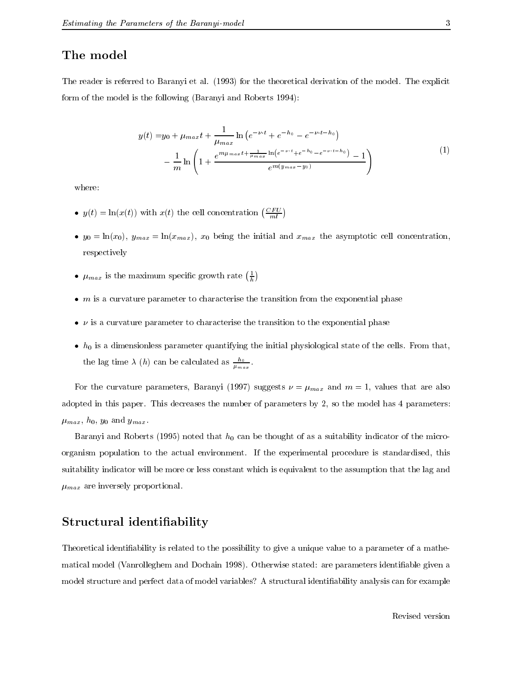## The model

The reader is referred to Baranyi et al. (1993) for the theoretical derivation of the model. The explicit form of the model is the following (Baranyi and Roberts 1994):

$$
y(t) = y_0 + \mu_{max} t + \frac{1}{\mu_{max}} \ln \left( e^{-\nu \cdot t} + e^{-h_0} - e^{-\nu \cdot t - h_0} \right)
$$

$$
- \frac{1}{m} \ln \left( 1 + \frac{e^{m\mu_{max} t + \frac{1}{\mu_{max}} \ln \left( e^{-\nu \cdot t} + e^{-h_0} - e^{-\nu \cdot t - h_0} \right)} - 1}{e^{m(y_{max} - y_0)}} \right)
$$
(1)

where:

- $y(t) = \ln(x(t))$  with  $x(t)$  the cell concentration  $\left(\frac{CFU}{ml}\right)$
- $y_0 = \ln(x_0), y_{max} = \ln(x_{max}), x_0$  being the initial and  $x_{max}$  the asymptotic cell concentration, respectively

he are a series of the contract of the contract of the contract of the contract of the contract of the contract of the contract of the contract of the contract of the contract of the contract of the contract of the contrac

- $\mu_{max}$  is the maximum specific growth rate  $(\frac{1}{b})$
- $\bullet$   $m$  is a curvature parameter to characterise the transition from the exponential phase
- $\bullet$   $\nu$  is a curvature parameter to characterise the transition to the exponential phase
- $\bullet$   $\,h_{0}$  is a dimensionless parameter quantifying the initial physiological state of the cells. From that, the lag time  $\lambda$  (h) can be calculated as  $\frac{m}{\mu_{max}}$ .

For the curvature parameters, Baranyi (1997) suggests  $\nu = \mu_{max}$  and  $m = 1$ , values that are also adopted in this paper. This decreases the number of parameters by 2, so the model has 4 parameters:  $\mu_{max}$ ,  $h_0$ ,  $y_0$  and  $y_{max}$ .

Baranyi and Roberts (1995) noted that  $h_0$  can be thought of as a suitability indicator of the microorganism population to the actual environment. If the experimental procedure is standardised, this suitability indicator will be more or less constant which is equivalent to the assumption that the lag and  $\mu_{max}$  are inversely proportional.

## Structural identiability

Theoretical identiability is related to the possibility to give a unique value to a parameter of a mathematical model (Vanrolleghem and Dochain 1998). Otherwise stated: are parameters identiable given a model structure and perfect data of model variables? A structural identiability analysis can for example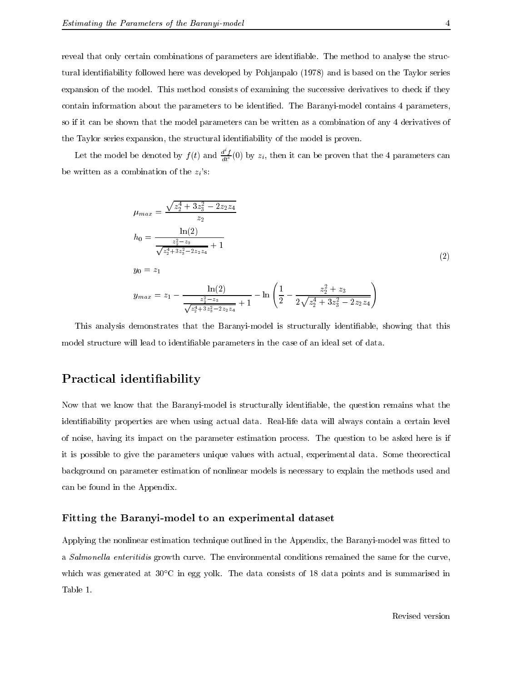reveal that only certain combinations of parameters are identifiable. The method to analyse the structural identiability followed here was developed by Pohjanpalo (1978) and is based on the Taylor series expansion of the model. This method consists of examining the successive derivatives to check if they contain information about the parameters to be identied. The Baranyi-model contains 4 parameters, so if it can be shown that the model parameters can be written as a combination of any 4 derivatives of the Taylor series expansion, the structural identiability of the model is proven.

Let the model be denoted by  $f(t)$  and  $\frac{d^2 f}{dt^2}(0)$  by  $z_i$ , then it can be proven that the 4 parameters can be written as a combination of the  $z_i$ 's:

$$
\mu_{max} = \frac{\sqrt{z_2^4 + 3z_3^2 - 2z_2z_4}}{z_2}
$$
\n
$$
h_0 = \frac{\ln(2)}{\frac{z_2^2 - z_3}{\sqrt{z_2^4 + 3z_3^2 - 2z_2z_4}} + 1}
$$
\n
$$
y_0 = z_1
$$
\n
$$
y_{max} = z_1 - \frac{\ln(2)}{\frac{z_2^2 - z_3}{\sqrt{z_2^4 + 3z_3^2 - 2z_2z_4}} + 1} - \ln\left(\frac{1}{2} - \frac{z_2^2 + z_3}{2\sqrt{z_2^4 + 3z_3^2 - 2z_2z_4}}\right)
$$
\n(2)

This analysis demonstrates that the Baranyi-model is structurally identiable, showing that this model structure will lead to identifiable parameters in the case of an ideal set of data.

## Practical identiability

Now that we know that the Baranyi-model is structurally identifiable, the question remains what the identiability properties are when using actual data. Real-life data will always contain a certain level of noise, having its impact on the parameter estimation process. The question to be asked here is if it is possible to give the parameters unique values with actual, experimental data. Some theorectical background on parameter estimation of nonlinear models is necessary to explain the methods used and can be found in the Appendix.

#### Fitting the Barance to an experimental dataset  $\sim$

Applying the nonlinear estimation technique outlined in the Appendix, the Baranyi-model was fitted to a Salmonella enteritidis growth curve. The environmental conditions remained the same for the curve, which was generated at  $30^{\circ}$ C in egg yolk. The data consists of 18 data points and is summarised in Table 1.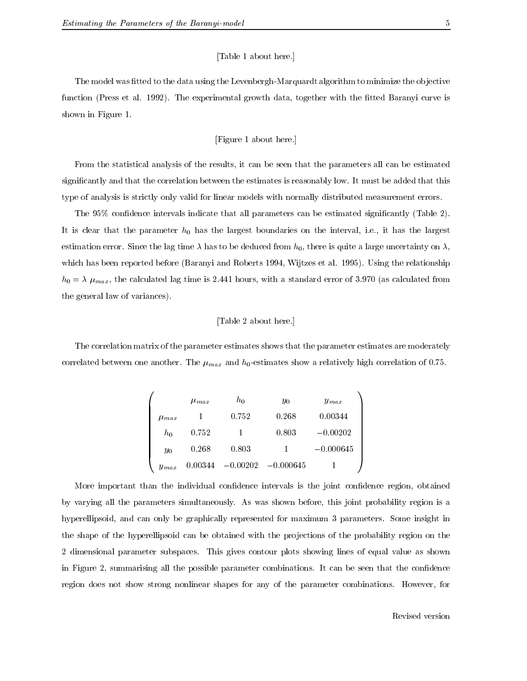#### [Table 1 about here.]

The model was fitted to the data using the Levenbergh-Marquardt algorithm to minimize the objective function (Press et al. 1992). The experimental growth data, together with the fitted Baranyi curve is shown in Figure 1.

#### [Figure 1 about here.]

From the statistical analysis of the results, it can be seen that the parameters all can be estimated signicantly and that the correlation between the estimates is reasonably low. It must be added that this type of analysis is strictly only valid for linear models with normally distributed measurement errors.

The 95% confidence intervals indicate that all parameters can be estimated significantly (Table 2). It is clear that the parameter  $h_0$  has the largest boundaries on the interval, i.e., it has the largest estimation error. Since the lag time  $\lambda$  has to be deduced from  $h_0$ , there is quite a large uncertainty on  $\lambda$ , which has been reported before (Baranyi and Roberts 1994, Wijtzes et al. 1995). Using the relationship  $h_0 = \lambda \mu_{max}$ , the calculated lag time is 2.441 hours, with a standard error of 3.970 (as calculated from the general law of variances).

#### [Table 2 about here.]

The correlation matrix of the parameter estimates shows that the parameter estimates are moderately correlated between one another. The  $\mu_{max}$  and  $h_0$ -estimates show a relatively high correlation of 0.75.

|             | $\mu_{max}$ | $h_0$      | Уo          | $y_{max}$   |
|-------------|-------------|------------|-------------|-------------|
| $\mu_{max}$ |             | 0.752      | 0.268       | 0.00344     |
| $h_0$       | 0.752       |            | 0.803       | $-0.00202$  |
| $y_0$       | 0.268       | 0.803      |             | $-0.000645$ |
| $y_{max}$   | 0.00344     | $-0.00202$ | $-0.000645$ |             |

 $\overline{\phantom{a}}$ 

More important than the individual condence intervals is the joint condence region, obtained by varying all the parameters simultaneously. As was shown before, this joint probability region is a hyperellipsoid, and can only be graphically represented for maximum 3 parameters. Some insight in the shape of the hyperellipsoid can be obtained with the projections of the probability region on the 2 dimensional parameter subspaces. This gives contour plots showing lines of equal value as shown in Figure 2, summarising all the possible parameter combinations. It can be seen that the confidence region does not show strong nonlinear shapes for any of the parameter combinations. However, for

 $1$  and  $1$  and  $1$  and  $1$  and  $1$  and  $1$  and  $1$  and  $1$  and  $1$  and  $1$  and  $1$  and  $1$  and  $1$  and  $1$  and  $1$  and  $1$  and  $1$  and  $1$  and  $1$  and  $1$  and  $1$  and  $1$  and  $1$  and  $1$  and  $1$  and  $1$  and  $1$  and  $1$  a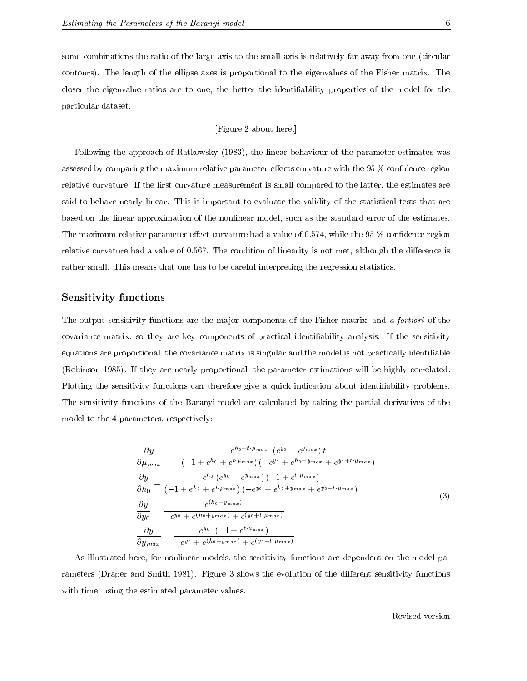some combinations the ratio of the large axis to the small axis is relatively far away from one (circular

contours). The length of the ellipse axes is proportional to the eigenvalues of the Fisher matrix. The closer the eigenvalue ratios are to one, the better the identiability properties of the model for the particular dataset.

[Figure 2 about here.]

Following the approach of Ratkowsky (1983), the linear behaviour of the parameter estimates was assessed by comparing the maximum relative parameter-effects curvature with the  $95\%$  confidence region relative curvature. If the first curvature measurement is small compared to the latter, the estimates are said to behave nearly linear. This is important to evaluate the validity of the statistical tests that are based on the linear approximation of the nonlinear model, such as the standard error of the estimates. The maximum relative parameter-effect curvature had a value of  $0.574$ , while the 95 % confidence region relative curvature had a value of 0.567. The condition of linearity is not met, although the difference is rather small. This means that one has to be careful interpreting the regression statistics.

#### $S$  is functions for  $S$  ,  $\mu$  is the sensitivity functions of  $\mu$

The output sensitivity functions are the major components of the Fisher matrix, and a fortiori of the covariance matrix, so they are key components of practical identifiability analysis. If the sensitivity equations are proportional, the covariance matrix is singular and the model is not practically identifiable (Robinson 1985). If they are nearly proportional, the parameter estimations will be highly correlated. Plotting the sensitivity functions can therefore give a quick indication about identiability problems. The sensitivity functions of the Baranyi-model are calculated by taking the partial derivatives of the model to the 4 parameters, respectively:

$$
\frac{\partial y}{\partial \mu_{max}} = -\frac{e^{h_0 + t \cdot \mu_{max}} (e^{y_0} - e^{y_{max}}) t}{(-1 + e^{h_0} + e^{t \cdot \mu_{max}}) (-e^{y_0} + e^{h_0 + y_{max}} + e^{y_0 + t \cdot \mu_{max}})}
$$
\n
$$
\frac{\partial y}{\partial h_0} = \frac{e^{h_0} (e^{y_0} - e^{y_{max}}) (-1 + e^{t \cdot \mu_{max}})}{(-1 + e^{h_0} + e^{t \cdot \mu_{max}}) (-e^{y_0} + e^{h_0 + y_{max}} + e^{y_0 + t \cdot \mu_{max}})}
$$
\n
$$
\frac{\partial y}{\partial y_0} = \frac{e^{(h_0 + y_{max})}}{-e^{y_0} + e^{(h_0 + y_{max})} + e^{(y_0 + t \cdot \mu_{max})}}
$$
\n
$$
\frac{\partial y}{\partial y_{max}} = \frac{e^{y_0} (-1 + e^{t \cdot \mu_{max}})}{-e^{y_0} + e^{(h_0 + y_{max})} + e^{(y_0 + t \cdot \mu_{max})}}
$$
\n(3)

As illustrated here, for nonlinear models, the sensitivity functions are dependent on the model parameters (Draper and Smith 1981). Figure 3 shows the evolution of the different sensitivity functions with time, using the estimated parameter values.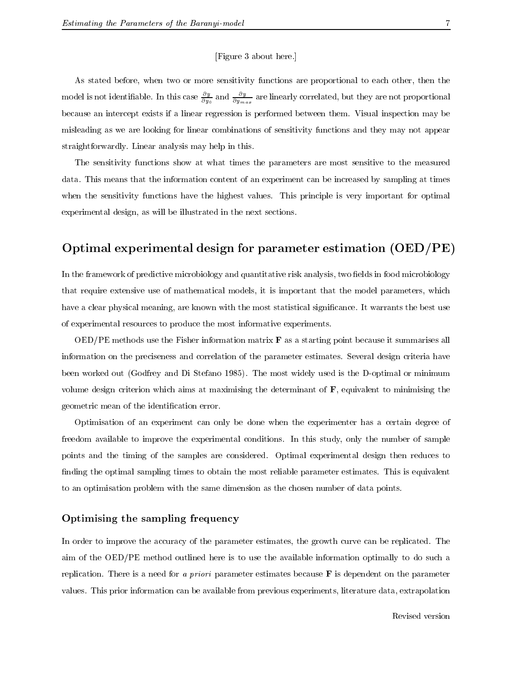#### [Figure 3 about here.]

As stated before, when two or more sensitivity functions are proportional to each other, then the model is not identifiable. In this case  $\frac{3}{\partial y_0}$  and  $\frac{3}{\partial y_{max}}$  are linearly correlated, but they are not proportional because an intercept exists if a linear regression is performed between them. Visual inspection may be misleading as we are looking for linear combinations of sensitivity functions and they may not appear straightforwardly. Linear analysis may help in this.

The sensitivity functions show at what times the parameters are most sensitive to the measured data. This means that the information content of an experiment can be increased by sampling at times when the sensitivity functions have the highest values. This principle is very important for optimal experimental design, as will be illustrated in the next sections.

## Optimal experimental design for parameter estimation (OED/PE)

In the framework of predictive microbiology and quantitative risk analysis, two fields in food microbiology that require extensive use of mathematical models, it is important that the model parameters, which have a clear physical meaning, are known with the most statistical significance. It warrants the best use of experimental resources to produce the most informative experiments.

 $\rm OED/PE$  methods use the Fisher information matrix  $\bf{F}$  as a starting point because it summarises all information on the preciseness and correlation of the parameter estimates. Several design criteria have been worked out (Godfrey and Di Stefano 1985). The most widely used is the D-optimal or minimum volume design criterion which aims at maximising the determinant of  $\bf{F}$ , equivalent to minimising the geometric mean of the identification error.

Optimisation of an experiment can only be done when the experimenter has a certain degree of freedom available to improve the experimental conditions. In this study, only the number of sample points and the timing of the samples are considered. Optimal experimental design then reduces to finding the optimal sampling times to obtain the most reliable parameter estimates. This is equivalent to an optimisation problem with the same dimension as the chosen number of data points.

#### Optimising the sampling frequency

In order to improve the accuracy of the parameter estimates, the growth curve can be replicated. The aim of the OED/PE method outlined here is to use the available information optimally to do such a replication. There is a need for a priori parameter estimates because  $\bf{F}$  is dependent on the parameter values. This prior information can be available from previous experiments, literature data, extrapolation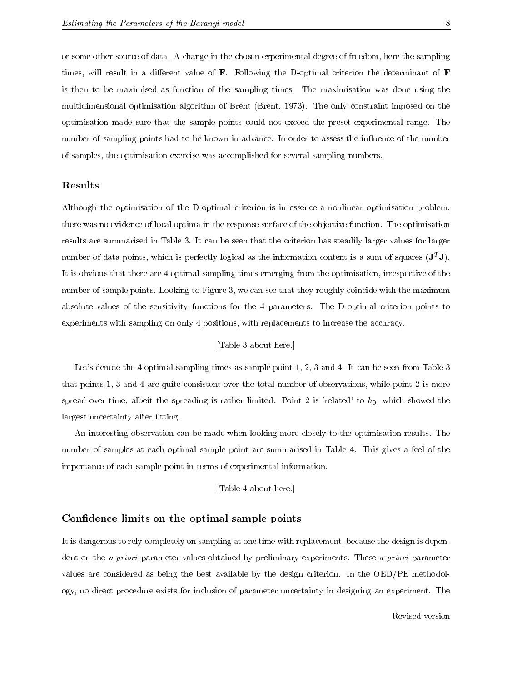or some other source of data. A change in the chosen experimental degree of freedom, here the sampling times, will result in a different value of  $\bf{F}$ . Following the D-optimal criterion the determinant of  $\bf{F}$ is then to be maximised as function of the sampling times. The maximisation was done using the multidimensional optimisation algorithm of Brent (Brent, 1973). The only constraint imposed on the optimisation made sure that the sample points could not exceed the preset experimental range. The number of sampling points had to be known in advance. In order to assess the influence of the number of samples, the optimisation exercise was accomplished for several sampling numbers.

#### Results

Although the optimisation of the D-optimal criterion is in essence a nonlinear optimisation problem, there was no evidence of local optima in the response surface of the objective function. The optimisation results are summarised in Table 3. It can be seen that the criterion has steadily larger values for larger number of data points, which is perfectly logical as the information content is a sum of squares  $(\mathbf{J}^T \mathbf{J})$ . It is obvious that there are 4 optimal sampling times emerging from the optimisation, irrespective of the number of sample points. Looking to Figure 3, we can see that they roughly coincide with the maximum absolute values of the sensitivity functions for the 4 parameters. The D-optimal criterion points to experiments with sampling on only 4 positions, with replacements to increase the accuracy.

#### [Table 3 about here.]

Let's denote the 4 optimal sampling times as sample point 1, 2, 3 and 4. It can be seen from Table 3 that points 1, 3 and 4 are quite consistent over the total number of observations, while point 2 is more spread over time, albeit the spreading is rather limited. Point 2 is 'related' to  $h_0$ , which showed the largest uncertainty after fitting.

An interesting observation can be made when looking more closely to the optimisation results. The number of samples at each optimal sample point are summarised in Table 4. This gives a feel of the importance of each sample point in terms of experimental information.

[Table 4 about here.]

#### condence limits on the optimal sample points of the optimal sample points of the optimal sample points of the o

It is dangerous to rely completely on sampling at one time with replacement, because the design is dependent on the *a priori* parameter values obtained by preliminary experiments. These *a priori* parameter values are considered as being the best available by the design criterion. In the OED/PE methodology, no direct procedure exists for inclusion of parameter uncertainty in designing an experiment. The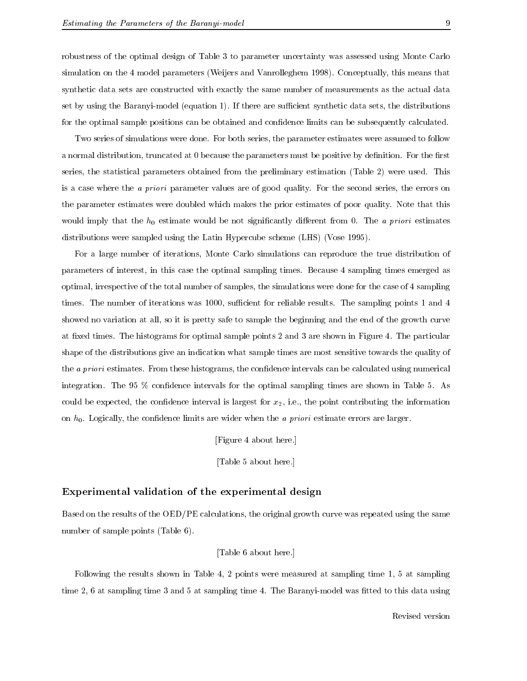robustness of the optimal design of Table 3 to parameter uncertainty was assessed using Monte Carlo simulation on the 4 model parameters (Weijers and Vanrolleghem 1998). Conceptually, this means that synthetic data sets are constructed with exactly the same number of measurements as the actual data set by using the Baranyi-model (equation 1). If there are sufficient synthetic data sets, the distributions for the optimal sample positions can be obtained and confidence limits can be subsequently calculated.

Two series of simulations were done. For both series, the parameter estimates were assumed to follow a normal distribution, truncated at 0 because the parameters must be positive by definition. For the first series, the statistical parameters obtained from the preliminary estimation (Table 2) were used. This is a case where the a priori parameter values are of good quality. For the second series, the errors on the parameter estimates were doubled which makes the prior estimates of poor quality. Note that this would imply that the  $h_0$  estimate would be not significantly different from 0. The a priori estimates distributions were sampled using the Latin Hypercube scheme (LHS) (Vose 1995).

For a large number of iterations, Monte Carlo simulations can reproduce the true distribution of parameters of interest, in this case the optimal sampling times. Because 4 sampling times emerged as optimal, irrespective of the total number of samples, the simulations were done for the case of 4 sampling times. The number of iterations was 1000, sufficient for reliable results. The sampling points 1 and 4 showed no variation at all, so it is pretty safe to sample the beginning and the end of the growth curve at fixed times. The histograms for optimal sample points 2 and 3 are shown in Figure 4. The particular shape of the distributions give an indication what sample times are most sensitive towards the quality of the *a priori* estimates. From these histograms, the confidence intervals can be calculated using numerical integration. The 95 % condence intervals for the optimal sampling times are shown in Table 5. As could be expected, the confidence interval is largest for  $x_2$ , i.e., the point contributing the information on  $h_0$ . Logically, the confidence limits are wider when the *a priori* estimate errors are larger.

[Figure 4 about here.]

[Table 5 about here.]

#### Experimental validation of the experimental design

Based on the results of the OED/PE calculations, the original growth curve was repeated using the same number of sample points (Table 6).

#### [Table 6 about here.]

Following the results shown in Table 4, 2 points were measured at sampling time 1, 5 at sampling time 2, 6 at sampling time 3 and 5 at sampling time 4. The Baranyi-model was fitted to this data using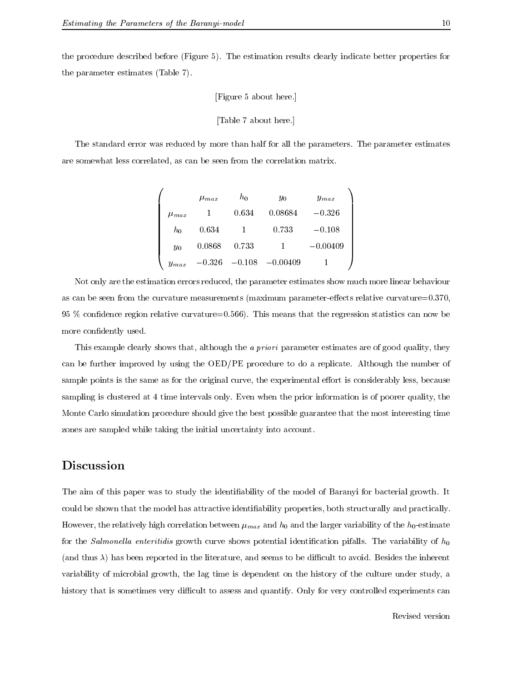$\overline{1}$ 

the procedure described before (Figure 5). The estimation results clearly indicate better properties for the parameter estimates (Table 7).

#### [Figure 5 about here.]

```
[Table 7 about here.]
```
The standard error was reduced by more than half for all the parameters. The parameter estimates are somewhat less correlated, as can be seen from the correlation matrix.

|             | $\mu_{max}$ | $h_0$    | $y_0$      | $y_{max}$  |
|-------------|-------------|----------|------------|------------|
| $\mu_{max}$ |             | 0.634    | 0.08684    | $-0.326$   |
| $h_0$       | 0.634       |          | 0.733      | $-0.108$   |
| $y_0$       | 0.0868      | 0.733    |            | $-0.00409$ |
| $y_{max}$   | $-0.326$    | $-0.108$ | $-0.00409$ |            |

Not only are the estimation errors reduced, the parameter estimates show much more linear behaviour as can be seen from the curvature measurements (maximum parameter-effects relative curvature= $0.370$ ,  $95\%$  confidence region relative curvature=0.566). This means that the regression statistics can now be more confidently used.

This example clearly shows that, although the *a priori* parameter estimates are of good quality, they can be further improved by using the OED/PE procedure to do a replicate. Although the number of sample points is the same as for the original curve, the experimental effort is considerably less, because sampling is clustered at 4 time intervals only. Even when the prior information is of poorer quality, the Monte Carlo simulation procedure should give the best possible guarantee that the most interesting time zones are sampled while taking the initial uncertainty into account.

## Discussion

The aim of this paper was to study the identifiability of the model of Baranyi for bacterial growth. It could be shown that the model has attractive identiability properties, both structurally and practically. However, the relatively high correlation between  $\mu_{max}$  and  $h_0$  and the larger variability of the  $h_0$ -estimate for the Salmonella enteritidis growth curve shows potential identification pifalls. The variability of  $h_0$ (and thus  $\lambda$ ) has been reported in the literature, and seems to be difficult to avoid. Besides the inherent variability of microbial growth, the lag time is dependent on the history of the culture under study, a history that is sometimes very difficult to assess and quantify. Only for very controlled experiments can

 $\mathbf{1}$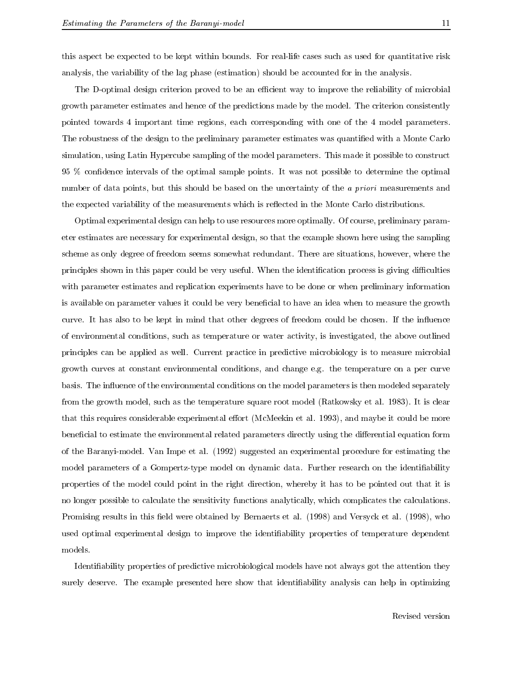this aspect be expected to be kept within bounds. For real-life cases such as used for quantitative risk analysis, the variability of the lag phase (estimation) should be accounted for in the analysis.

The D-optimal design criterion proved to be an efficient way to improve the reliability of microbial growth parameter estimates and hence of the predictions made by the model. The criterion consistently pointed towards 4 important time regions, each corresponding with one of the 4 model parameters. The robustness of the design to the preliminary parameter estimates was quantified with a Monte Carlo simulation, using Latin Hypercube sampling of the model parameters. This made it possible to construct 95 % condence intervals of the optimal sample points. It was not possible to determine the optimal number of data points, but this should be based on the uncertainty of the *a priori* measurements and the expected variability of the measurements which is reflected in the Monte Carlo distributions.

Optimal experimental design can help to use resources more optimally. Of course, preliminary parameter estimates are necessary for experimental design, so that the example shown here using the sampling scheme as only degree of freedom seems somewhat redundant. There are situations, however, where the principles shown in this paper could be very useful. When the identification process is giving difficulties with parameter estimates and replication experiments have to be done or when preliminary information is available on parameter values it could be very beneficial to have an idea when to measure the growth curve. It has also to be kept in mind that other degrees of freedom could be chosen. If the influence of environmental conditions, such as temperature or water activity, is investigated, the above outlined principles can be applied as well. Current practice in predictive microbiology is to measure microbial growth curves at constant environmental conditions, and change e.g. the temperature on a per curve basis. The influence of the environmental conditions on the model parameters is then modeled separately from the growth model, such as the temperature square root model (Ratkowsky et al. 1983). It is clear that this requires considerable experimental effort (McMeekin et al. 1993), and maybe it could be more beneficial to estimate the environmental related parameters directly using the differential equation form of the Baranyi-model. Van Impe et al. (1992) suggested an experimental procedure for estimating the model parameters of a Gompertz-type model on dynamic data. Further research on the identifiability properties of the model could point in the right direction, whereby it has to be pointed out that it is no longer possible to calculate the sensitivity functions analytically, which complicates the calculations. Promising results in this field were obtained by Bernaerts et al. (1998) and Versyck et al. (1998), who used optimal experimental design to improve the identiability properties of temperature dependent models.

Identiability properties of predictive microbiological models have not always got the attention they surely deserve. The example presented here show that identiability analysis can help in optimizing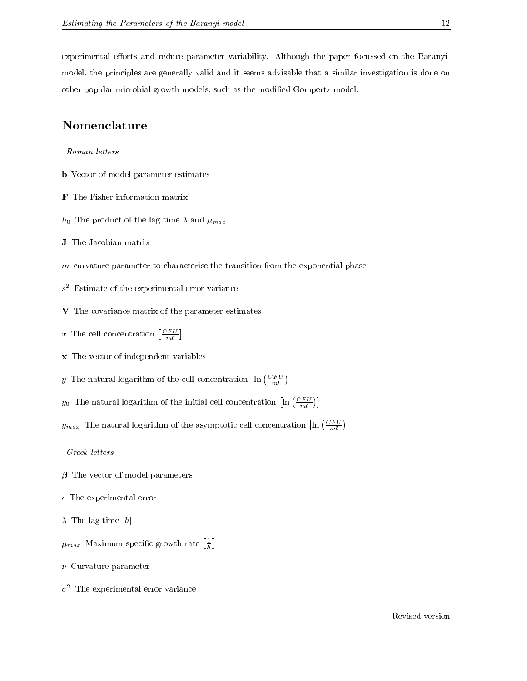experimental efforts and reduce parameter variability. Although the paper focussed on the Baranyimodel, the principles are generally valid and it seems advisable that a similar investigation is done on other popular microbial growth models, such as the modied Gompertz-model.

## Nomenclature

Roman letters

- b Vector of model parameter estimates
- 
- $h_0$  The product of the lag time  $\lambda$  and  $\mu_{max}$
- <u>J The Jacobian matrix matrix matrix matrix and the Jacobian matri</u>
- <sup>m</sup> curvature parameter to characterise the transition from the exponential phase
- <sup>s</sup> <sup>2</sup> Estimate of the experimental error variance
- V The covariance matrix of the parameters estimates
- x The cell concentration  $\left[\frac{CFU}{ml}\right]$
- x The vector of independent variables
- y The natural logarithm of the cell concentration  $\left[ \ln \left( \frac{CFU}{ml} \right) \right]$
- $y_0$  The natural logarithm of the initial cell concentration  $\left[\ln\left(\frac{CFU}{ml}\right)\right]$
- $y_{max}$  The natural logarithm of the asymptotic cell concentration  $\left[ \ln \left( \frac{CFU}{ml} \right) \right]$

he are a serious contract to the contract of the contract of the contract of the contract of the contract of the

Greek letters

- $\beta$  The vector of model parameters
- $\epsilon$  The experimental error
- $\lambda$  The lag time [h]
- $\mu_{max}$  Maximum specific growth rate  $\left[\frac{1}{h}\right]$ the contract of the contract of the contract of the contract of the contract of the contract of the contract of
- $\nu$  Curvature parameter
- $\sigma^2$  The experimental error variance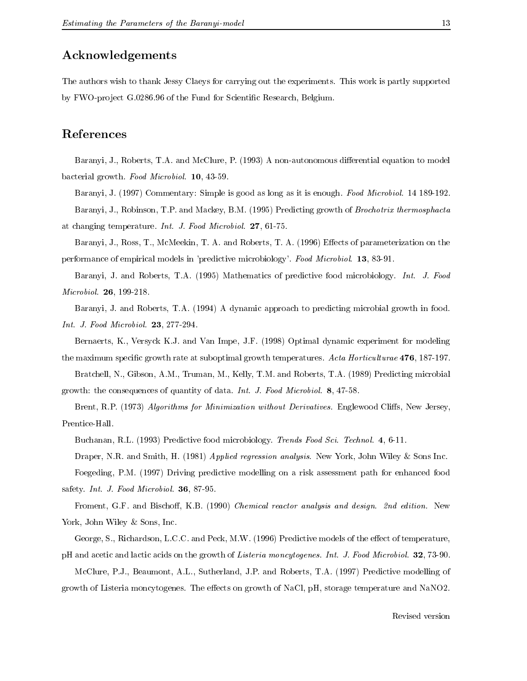## Acknowledgements

The authors wish to thank Jessy Claeys for carrying out the experiments. This work is partly supported by FWO-project G.0286.96 of the Fund for Scientific Research, Belgium.

### References

Baranyi, J., Roberts, T.A. and McClure, P. (1993) A non-autonomous differential equation to model bacterial growth. Food Microbiol. 10, 43-59.

Baranyi, J. (1997) Commentary: Simple is good as long as it is enough. Food Microbiol. 14 189-192. Baranyi, J., Robinson, T.P. and Mackey, B.M. (1995) Predicting growth of Brochotrix thermosphacta

at changing temperature. Int. J. Food Microbiol. 27, 61-75.

Baranyi, J., Ross, T., McMeekin, T. A. and Roberts, T. A. (1996) Effects of parameterization on the performance of empirical models in 'predictive microbiology'. Food Microbiol. 13, 83-91.

Baranyi, J. and Roberts, T.A. (1995) Mathematics of predictive food microbiology. Int. J. Food Microbiol. 26, 199-218.

Baranyi, J. and Roberts, T.A. (1994) A dynamic approach to predicting microbial growth in food. Int. J. Food Microbiol. 23, 277-294.

Bernaerts, K., Versyck K.J. and Van Impe, J.F. (1998) Optimal dynamic experiment for modeling the maximum specific growth rate at suboptimal growth temperatures. Acta Horticulturae 476, 187-197. Bratchell, N., Gibson, A.M., Truman, M., Kelly, T.M. and Roberts, T.A. (1989) Predicting microbial

growth: the consequences of quantity of data. Int. J. Food Microbiol. 8, 47-58.

Brent, R.P. (1973) Algorithms for Minimization without Derivatives. Englewood Cliffs, New Jersey, Prentice-Hall.

Buchanan, R.L. (1993) Predictive food microbiology. Trends Food Sci. Technol. 4, 6-11.

Draper, N.R. and Smith, H. (1981) Applied regression analysis. New York, John Wiley & Sons Inc.

Foegeding, P.M. (1997) Driving predictive modelling on a risk assessment path for enhanced food safety. Int. J. Food Microbiol. 36, 87-95.

Froment, G.F. and Bischoff, K.B. (1990) Chemical reactor analysis and design. 2nd edition. New York, John Wiley & Sons, Inc.

George, S., Richardson, L.C.C. and Peck, M.W. (1996) Predictive models of the effect of temperature, pH and acetic and lactic acids on the growth of Listeria moncytogenes. Int. J. Food Microbiol. 32, 73-90.

McClure, P.J., Beaumont, A.L., Sutherland, J.P. and Roberts, T.A. (1997) Predictive modelling of growth of Listeria moncytogenes. The effects on growth of NaCl, pH, storage temperature and NaNO2.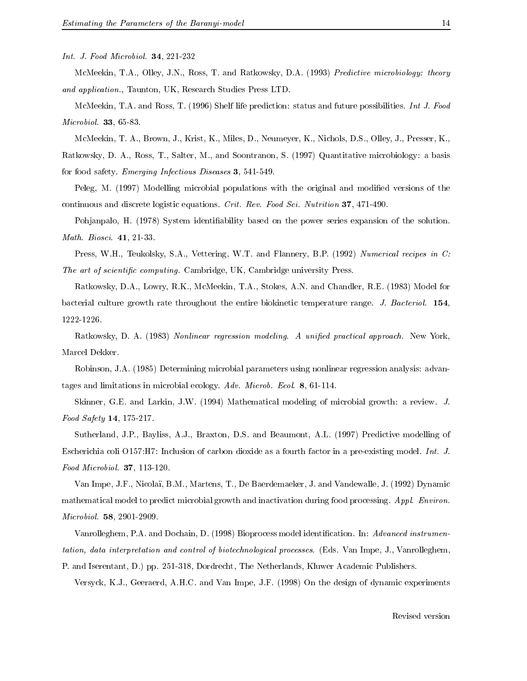Int. J. Food Microbiol. 34, 221-232

McMeekin, T.A., Olley, J.N., Ross, T. and Ratkowsky, D.A. (1993) Predictive microbiology: theory and application., Taunton, UK, Research Studies Press LTD.

McMeekin, T.A. and Ross, T. (1996) Shelf life prediction: status and future possibilities. Int J. Food Microbiol. 33, 65-83.

McMeekin, T. A., Brown, J., Krist, K., Miles, D., Neumeyer, K., Nichols, D.S., Olley, J., Presser, K., Ratkowsky, D. A., Ross, T., Salter, M., and Soontranon, S. (1997) Quantitative microbiology: a basis for food safety. Emerging Infectious Diseases 3, 541-549.

Peleg, M. (1997) Modelling microbial populations with the original and modified versions of the continuous and discrete logistic equations. Crit. Rev. Food Sci. Nutrition 37, 471-490.

Pohjanpalo, H. (1978) System identifiability based on the power series expansion of the solution. Math. Biosci. 41, 21-33.

Press, W.H., Teukolsky, S.A., Vettering, W.T. and Flannery, B.P. (1992) Numerical recipes in C: The art of scientific computing. Cambridge, UK, Cambridge university Press.

Ratkowsky, D.A., Lowry, R.K., McMeekin, T.A., Stokes, A.N. and Chandler, R.E. (1983) Model for bacterial culture growth rate throughout the entire biokinetic temperature range. J. Bacteriol. 154, 1222-1226.

Ratkowsky, D. A. (1983) Nonlinear regression modeling. A unified practical approach. New York,

Robinson, J.A. (1985) Determining microbial parameters using nonlinear regression analysis: advantages and limitations in microbial ecology. Adv. Microb. Ecol. 8, 61-114.

Skinner, G.E. and Larkin, J.W. (1994) Mathematical modeling of microbial growth: a review. J. Food Safety 14, 175-217.

Sutherland, J.P., Bayliss, A.J., Braxton, D.S. and Beaumont, A.L. (1997) Predictive modelling of Escherichia coli O157:H7: Inclusion of carbon dioxide as a fourth factor in a pre-existing model. Int. J. Food Microbiol. 37, 113-120.

Van Impe, J.F., Nicolai, B.M., Martens, T., De Baerdemaeker, J. and Vandewalle, J. (1992) Dynamic mathematical model to predict microbial growth and inactivation during food processing. Appl. Environ. Microbiol. 58, 2901-2909.

Vanrolleghem, P.A. and Dochain, D. (1998) Bioprocess model identification. In: Advanced instrumentation, data interpretation and control of biotechnological processes. (Eds. Van Impe, J., Vanrolleghem, P. and Iserentant, D.) pp. 251-318, Dordrecht, The Netherlands, Kluwer Academic Publishers.

Versyck, K.J., Geeraerd, A.H.C. and Van Impe, J.F. (1998) On the design of dynamic experiments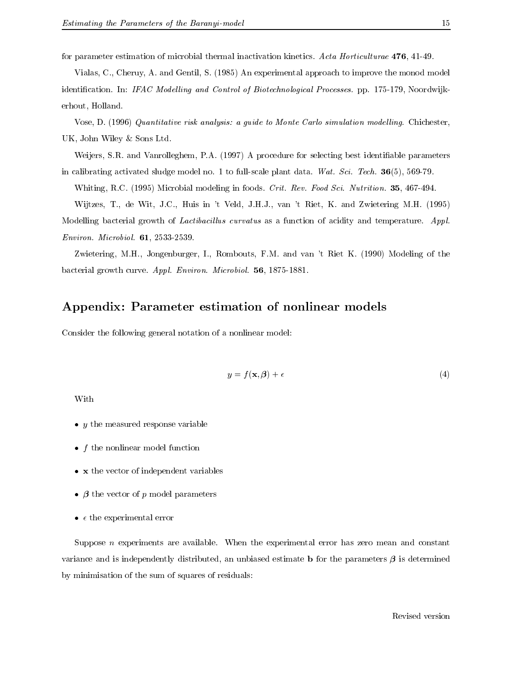for parameter estimation of microbial thermal inactivation kinetics. Acta Horticulturae 476, 41-49.

Vialas, C., Cheruy, A. and Gentil, S. (1985) An experimental approach to improve the monod model identification. In: IFAC Modelling and Control of Biotechnological Processes. pp. 175-179, Noordwijkerhout, Holland.

Vose, D. (1996) Quantitative risk analysis: a guide to Monte Carlo simulation modelling. Chichester, UK, John Wiley & Sons Ltd.

Weijers, S.R. and Vanrolleghem, P.A. (1997) A procedure for selecting best identiable parameters in calibrating activated sludge model no. 1 to full-scale plant data. Wat. Sci. Tech.  $36(5)$ , 569-79.

Whiting, R.C. (1995) Microbial modeling in foods. Crit. Rev. Food Sci. Nutrition. 35, 467-494.

Wijtzes, T., de Wit, J.C., Huis in 't Veld, J.H.J., van 't Riet, K. and Zwietering M.H. (1995)

Modelling bacterial growth of *Lactibacillus curvatus* as a function of acidity and temperature. Appl. Environ. Microbiol. 61, 2533-2539.

Zwietering, M.H., Jongenburger, I., Rombouts, F.M. and van 't Riet K. (1990) Modeling of the bacterial growth curve. Appl. Environ. Microbiol. 56, 1875-1881.

## Appendix: Parameter estimation of nonlinear models

Consider the following general notation of a nonlinear model:

$$
y = f(\mathbf{x}, \boldsymbol{\beta}) + \epsilon \tag{4}
$$

With

- $\bullet\,$  y the measured response variable
- $\bullet$   $\,$   $\,$   $\,$   $\,$   $\,$  the nonlinear model function
- <sup>x</sup> the vector of independent variables
- $\bullet$   $\rho$  the vector of  $p$  model parameters
- $\bullet$   $\epsilon$  the experimental error

Suppose  $n$  experiments are available. When the experimental error has zero mean and constant variance and is independently distributed, an unbiased estimate **b** for the parameters  $\beta$  is determined by minimisation of the sum of squares of residuals: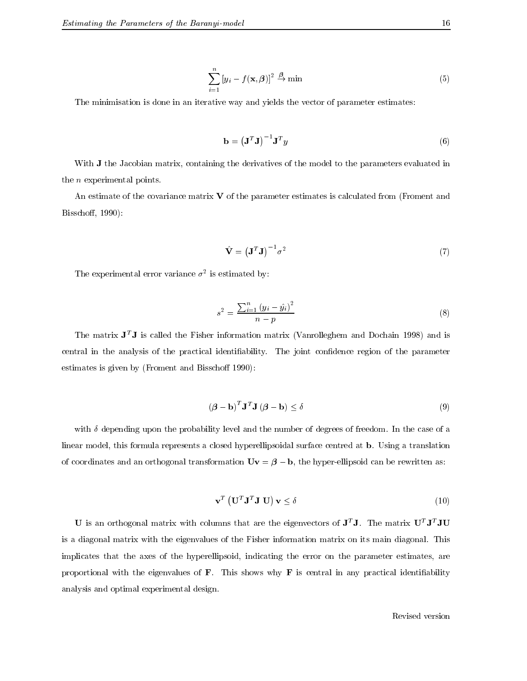$$
\sum_{i=1}^{n} \left[ y_i - f(\mathbf{x}, \boldsymbol{\beta}) \right]^2 \stackrel{\boldsymbol{\beta}}{\to} \min \tag{5}
$$

The minimisation is done in an iterative way and yields the vector of parameter estimates:

$$
\mathbf{b} = \left(\mathbf{J}^T \mathbf{J}\right)^{-1} \mathbf{J}^T y \tag{6}
$$

With **J** the Jacobian matrix, containing the derivatives of the model to the parameters evaluated in the <sup>n</sup> experimental points.

An estimate of the covariance matrix  $\bf{V}$  of the parameter estimates is calculated from (Froment and Bisschoff, 1990):

$$
\hat{\mathbf{V}} = \left(\mathbf{J}^T \mathbf{J}\right)^{-1} \sigma^2 \tag{7}
$$

I ne experimental error variance  $\sigma^-$  is estimated by:

$$
s^{2} = \frac{\sum_{i=1}^{n} (y_{i} - \hat{y}_{i})^{2}}{n - p}
$$
 (8)

The matrix  $J^TJ$  is called the Fisher information matrix (Vanrolleghem and Dochain 1998) and is central in the analysis of the practical identifiability. The joint confidence region of the parameter estimates is given by (Froment and Bisschoff 1990):

$$
(\boldsymbol{\beta} - \mathbf{b})^T \mathbf{J}^T \mathbf{J} \ (\boldsymbol{\beta} - \mathbf{b}) \le \delta \tag{9}
$$

with  $\delta$  depending upon the probability level and the number of degrees of freedom. In the case of a linear model, this formula represents a closed hyperellipsoidal surface centred at b. Using a translation of coordinates and an orthogonal transformation  $\mathbf{U}\mathbf{v} = \boldsymbol{\beta} - \mathbf{b}$ , the hyper-ellipsoid can be rewritten as:

$$
\mathbf{v}^T \left( \mathbf{U}^T \mathbf{J}^T \mathbf{J} \mathbf{U} \right) \mathbf{v} \le \delta \tag{10}
$$

U is an orthogonal matrix with columns that are the eigenvectors of <sup>J</sup><sup>T</sup> J. The matrix UT JT JU is a diagonal matrix with the eigenvalues of the Fisher information matrix on its main diagonal. This implicates that the axes of the hyperellipsoid, indicating the error on the parameter estimates, are proportional with the eigenvalues of **. This shows why**  $**F**$  **is central in any practical identifiability** analysis and optimal experimental design.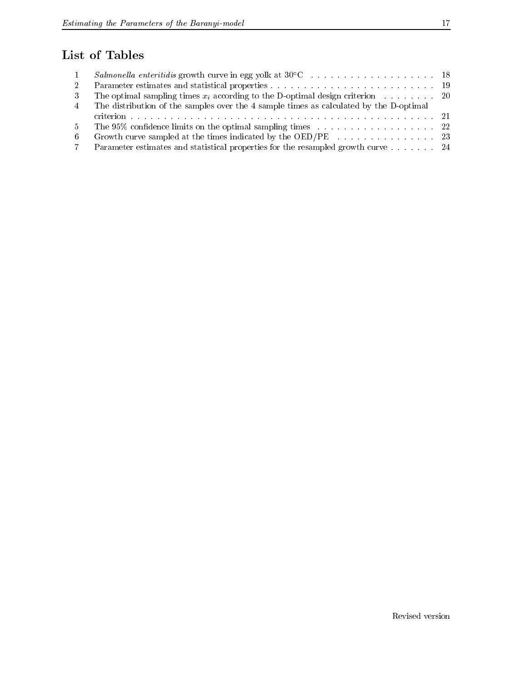## List of Tables

| $\mathbf{1}$ |                                                                                        |  |
|--------------|----------------------------------------------------------------------------------------|--|
| $2^{\circ}$  |                                                                                        |  |
| 3            | The optimal sampling times $x_i$ according to the D-optimal design criterion 20        |  |
| $4 -$        | The distribution of the samples over the 4 sample times as calculated by the D-optimal |  |
|              |                                                                                        |  |
| $5 -$        |                                                                                        |  |
| 6.           |                                                                                        |  |
| 7.           | Parameter estimates and statistical properties for the resampled growth curve 24       |  |
|              |                                                                                        |  |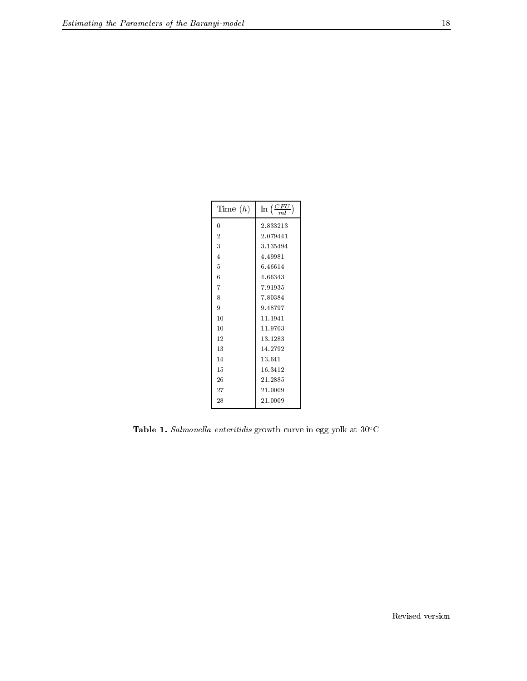| Time $(h)$     | $\ln\left(\frac{CFU}{m}\right)$ |  |
|----------------|---------------------------------|--|
| 0              | 2.833213                        |  |
| $\overline{2}$ | 2.079441                        |  |
| 3              | 3.135494                        |  |
| 4              | 4.49981                         |  |
| 5              | 6.46614                         |  |
| 6              | 4.66343                         |  |
| 7              | 7.91935                         |  |
| 8              | 7.80384                         |  |
| 9              | 9.48797                         |  |
| 10             | 11.1941                         |  |
| 10             | 11.9703                         |  |
| 12             | 13.1283                         |  |
| 13             | 14.2792                         |  |
| 14             | 13.641                          |  |
| 15             | 16.3412                         |  |
| 26             | 21.2885                         |  |
| 27             | 21.0009                         |  |
| 28             | 21.0009                         |  |

**Table 1.** Salmonella enteritials growth curve in egg yolk at 30 C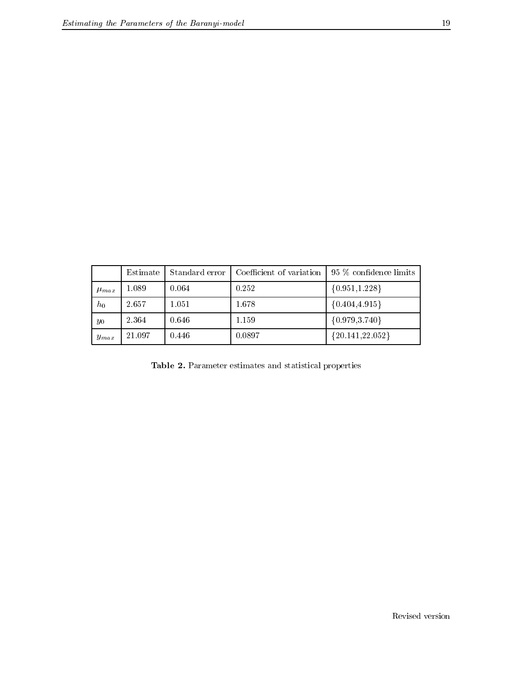|             | Estimate | Standard error | Coefficient of variation | 95 % confidence limits |
|-------------|----------|----------------|--------------------------|------------------------|
| $\mu_{max}$ | 1.089    | 0.064          | 0.252                    | ${0.951, 1.228}$       |
| $h_0$       | 2.657    | 1.051          | 1.678                    | $\{0.404, 4.915\}$     |
| $y_0$       | 2.364    | 0.646          | 1.159                    | ${0.979, 3.740}$       |
| $y_{max}$   | 21.097   | 0.446          | 0.0897                   | ${20.141,22.052}$      |

Table 2. Parameter estimates and statistical properties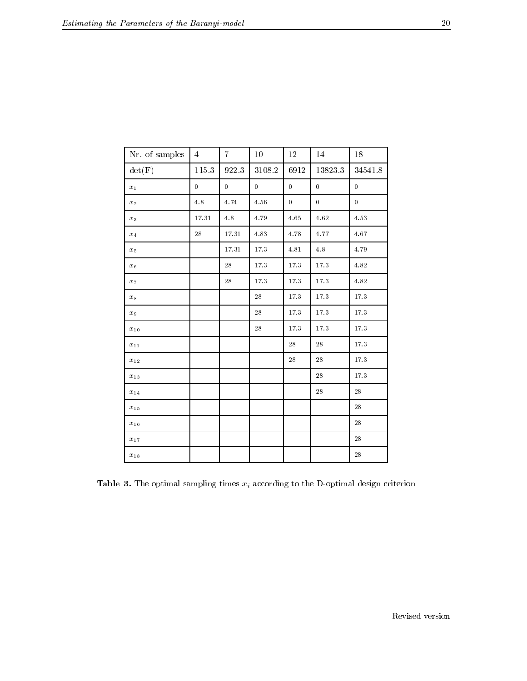| Nr. of samples     | $\overline{4}$ | $\overline{7}$ | 10             | 12               | 14             | 18             |
|--------------------|----------------|----------------|----------------|------------------|----------------|----------------|
| $\det(\mathbf{F})$ | $115.3\,$      | 922.3          | 3108.2         | 6912             | 13823.3        | 34541.8        |
| $x_1$              | $\overline{0}$ | $\overline{0}$ | $\overline{0}$ | $\bf{0}$         | $\overline{0}$ | $\overline{0}$ |
| $x_2$              | $4.8\,$        | 4.74           | $4.5\,$        | $\boldsymbol{0}$ | $\bf{0}$       | $\bf{0}$       |
| $x_3$              | $17.31\,$      | 4.8            | 4.79           | $4.65\,$         | $4.62\,$       | $4.53\,$       |
| $x_4$              | $28\,$         | $17.31\,$      | 4.83           | 4.78             | 4.77           | $4.67\,$       |
| $x_5$              |                | $17.31\,$      | 17.3           | $4.81\,$         | 4.8            | 4.79           |
| $x_6$              |                | 28             | $17.3\,$       | $1\,7.3$         | $17.3\,$       | 4.82           |
| $x_7$              |                | 28             | 17.3           | $1\,7.3$         | $17.3\,$       | 4.82           |
| $x_8$              |                |                | 28             | $17.3\,$         | $17.3\,$       | $17.3\,$       |
| $x_9$              |                |                | 28             | $17.3\,$         | 17.3           | $17.3\,$       |
| $x_{\rm\,10}$      |                |                | 28             | 17.3             | 17.3           | 17.3           |
| $x_{\rm\,11}$      |                |                |                | $2\sqrt{8}$      | 28             | $17.3\,$       |
| $x_{\rm\,12}$      |                |                |                | $2\sqrt{8}$      | 28             | $17.3\,$       |
| $x_{\sqrt{13}}$    |                |                |                |                  | $28\,$         | $17.3\,$       |
| $x_{\rm\,14}$      |                |                |                |                  | 28             | 28             |
| $x_{\rm\,15}$      |                |                |                |                  |                | 28             |
| $x_{\rm\,16}$      |                |                |                |                  |                | 28             |
| $x_{\rm\,17}$      |                |                |                |                  |                | 28             |
| $x_{\sqrt{18}}$    |                |                |                |                  |                | $\sqrt{28}$    |

**Table 3.** The optimal sampling times  $x_i$  according to the D-optimal design criterion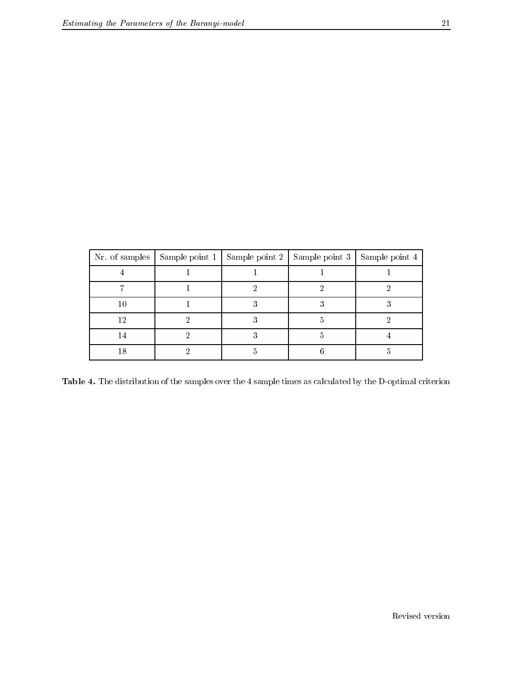|    | Nr. of samples Sample point 1   Sample point 2   Sample point 3   Sample point 4 |  |  |
|----|----------------------------------------------------------------------------------|--|--|
|    |                                                                                  |  |  |
|    |                                                                                  |  |  |
| 10 |                                                                                  |  |  |
| 12 |                                                                                  |  |  |
| 14 |                                                                                  |  |  |
| 18 |                                                                                  |  |  |

Table 4. The distribution of the samples over the 4 sample times as calculated by the D-optimal criterion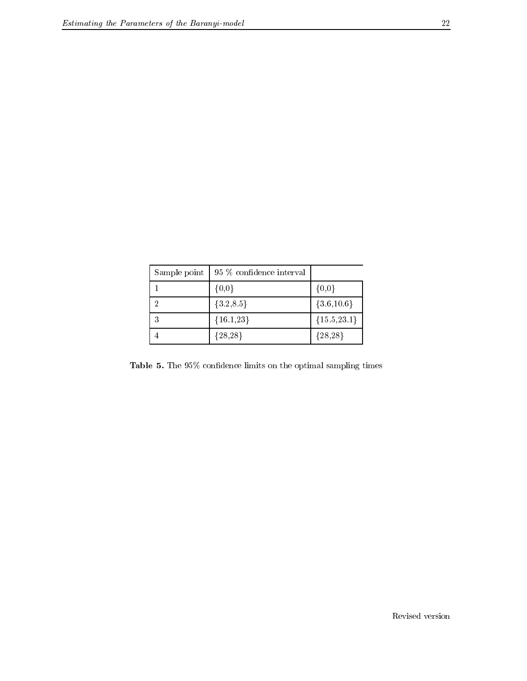| Sample point   95 % confidence interval |               |
|-----------------------------------------|---------------|
| ${0,0}$                                 | $\{0,0\}$     |
| ${3.2,8.5}$                             | ${3.6,10.6}$  |
| ${16.1,23}$                             | ${15.5,23.1}$ |
| ${28,28}$                               | ${28,28}$     |

Table 5. The 95% condence limits on the optimal sampling times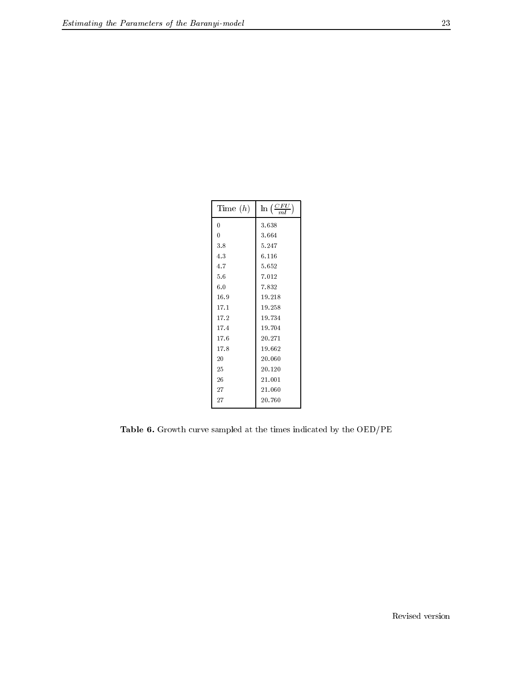| Time $(h)$     | $\ln\left(\frac{CFU}{mL}\right)$ |  |
|----------------|----------------------------------|--|
| 0              | 3.638                            |  |
| $\overline{0}$ | 3.664                            |  |
| 3.8            | 5.247                            |  |
| 4.3            | 6.116                            |  |
| 4.7            | 5.652                            |  |
| 5.6            | 7.012                            |  |
| 6.0            | 7.832                            |  |
| 16.9           | 19.218                           |  |
| 17.1           | 19.258                           |  |
| 17.2           | 19.734                           |  |
| 17.4           | 19.704                           |  |
| 17.6           | 20.271                           |  |
| 17.8           | 19.662                           |  |
| 20             | 20.060                           |  |
| 25             | 20.120                           |  |
| 26             | 21.001                           |  |
| 27             | 21.060                           |  |
| 27             | 20.760                           |  |
|                |                                  |  |

Table 6. Growth curve sampled at the times indicated by the OED/PE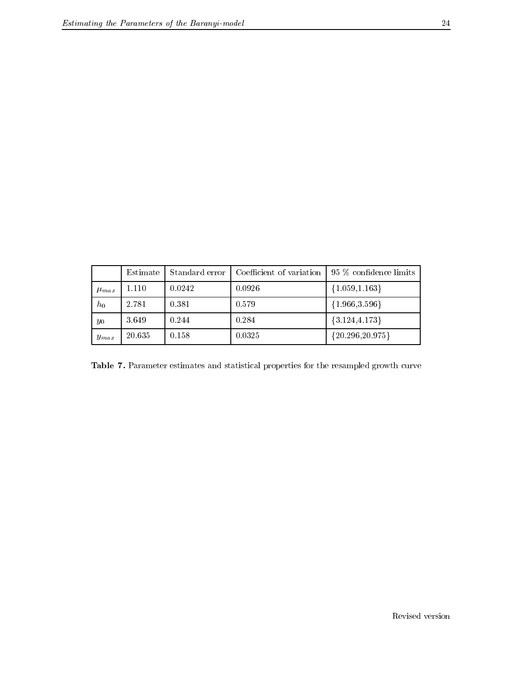|             | Estimate | Standard error | Coefficient of variation | 95 % confidence limits |
|-------------|----------|----------------|--------------------------|------------------------|
| $\mu_{max}$ | 1.110    | 0.0242         | 0.0926                   | ${1.059, 1.163}$       |
| $h_0$       | 2.781    | 0.381          | 0.579                    | ${1.966, 3.596}$       |
| $y_0$       | 3.649    | 0.244          | 0.284                    | ${3.124, 4.173}$       |
| $y_{max}$   | 20.635   | 0.158          | 0.0325                   | ${20.296,20.975}$      |

Table 7. Parameter estimates and statistical properties for the resampled growth curve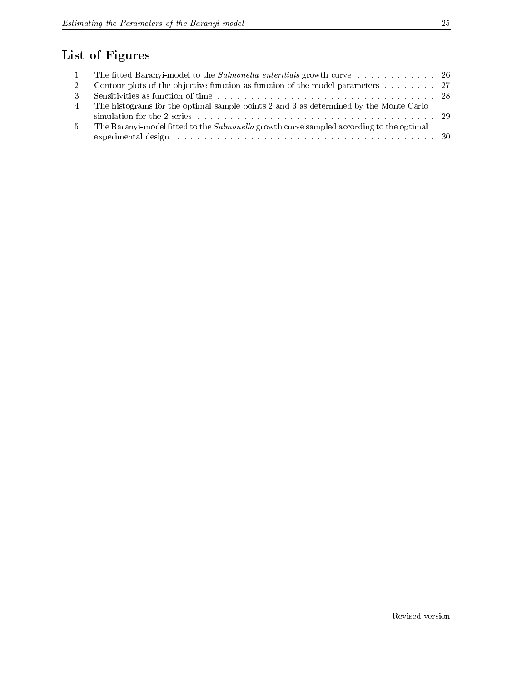## List of Figures

| 2   | Contour plots of the objective function as function of the model parameters $\dots \dots$       |  |
|-----|-------------------------------------------------------------------------------------------------|--|
| -3- |                                                                                                 |  |
| -4  | The histograms for the optimal sample points 2 and 3 as determined by the Monte Carlo           |  |
|     |                                                                                                 |  |
| 5   | The Baranyi-model fitted to the <i>Salmonella</i> growth curve sampled according to the optimal |  |
|     |                                                                                                 |  |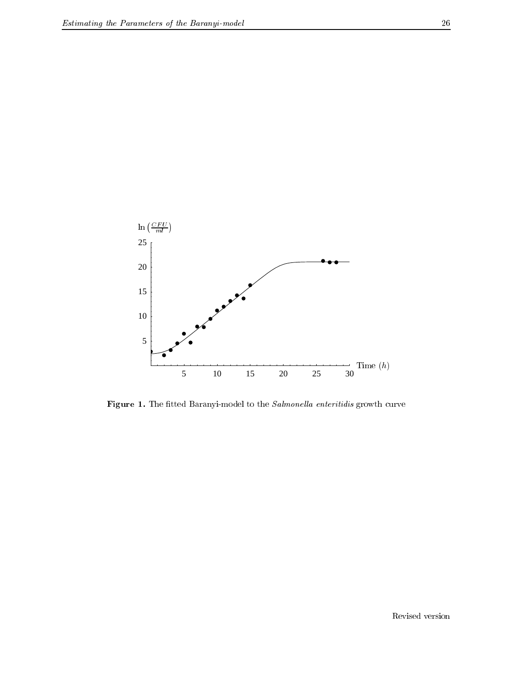

**Figure 1.** The nuted Baranyi-model to the *Salmonella enteritials* growth curve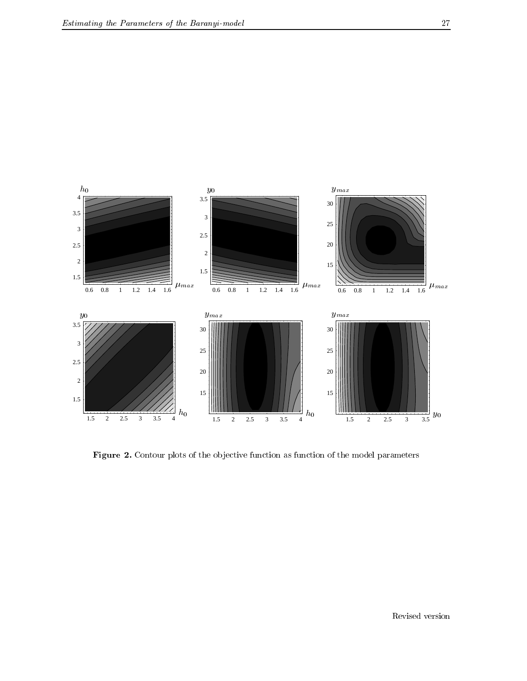

Figure 2. Contour plots of the ob jective function as function of the model parameters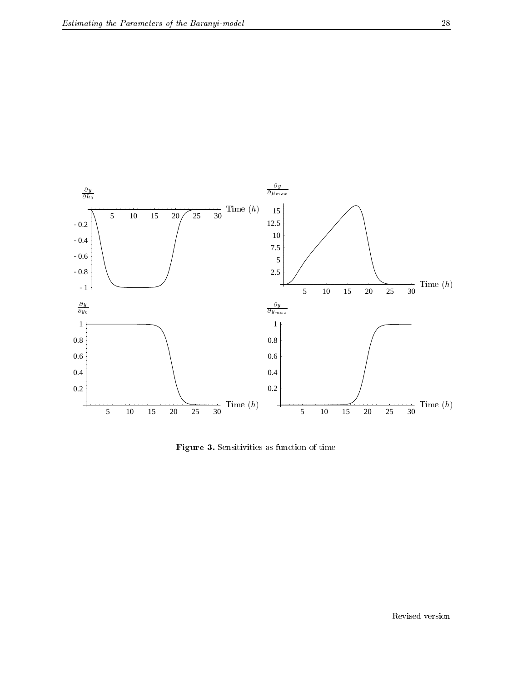

Figure 3. Sensitivities as function of time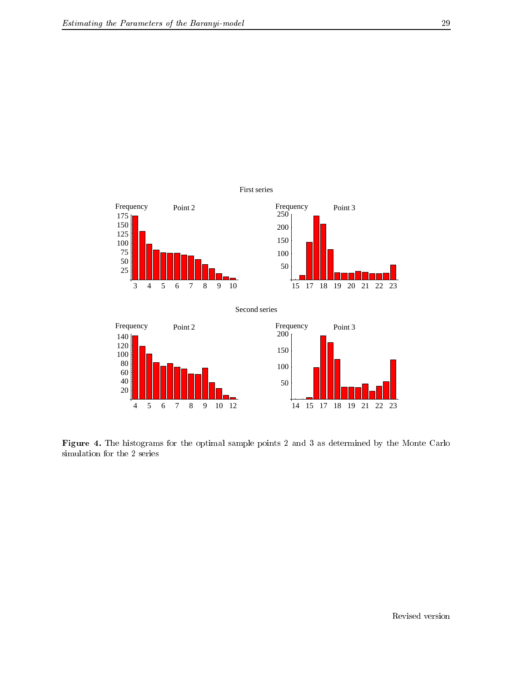

Figure 4. The histograms for the optimal sample points 2 and 3 as determined by the Monte Carlo simulation for the 2 series